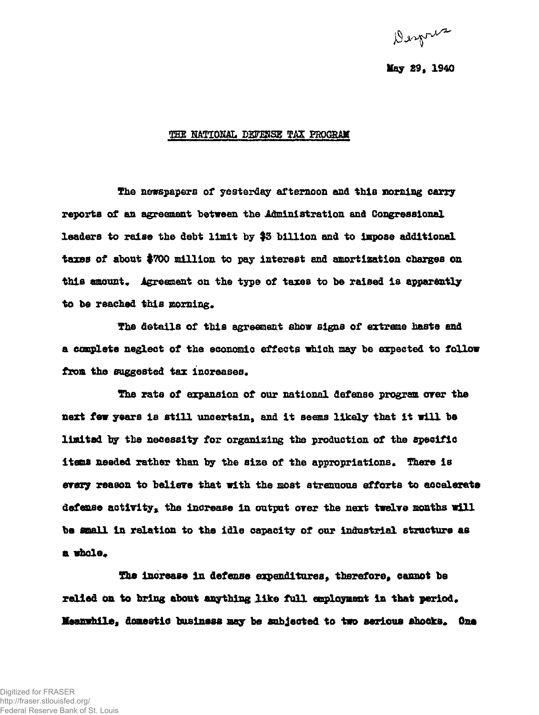Derpris

## **lay 29, 1940**

## **THE HATIOHAL DSFMSE TAX PROGRAM**

**The newspapers of yesterday afternoon and this morning carry reports of an agreement between the Administration and Congressional leaders to raise the debt limit by \$3 billion and to impose additional taxes of about #700 million to pay interest and amortisation charges on**  this amount. Agreement on the type of taxes to be raised is apparently to be reached this morning.

**The details of this agreement show signs of extreme haste and a complete neglect of the economic effects which xaay be expected to follow**  from the suggested tax increases.

**The rate of expansion of our national defense program over the next few years is still uncertain, and it seems likely that it will be limited tor the necessity for organizing the production of the specific items needed rather than by the size of the appropriations« There is every reason to believe that with the most strenuous efforts to accelerate**  defense activity, the increase in output over the next twelve months will **be small in relation to the idle capacity of our industrial structure as**  a whole.

The increase in defense expenditures, therefore, cannot be **relied on to bring about anything like full employment in that period\***  Meanwhile, domestic business may be subjected to two serious shocks. One